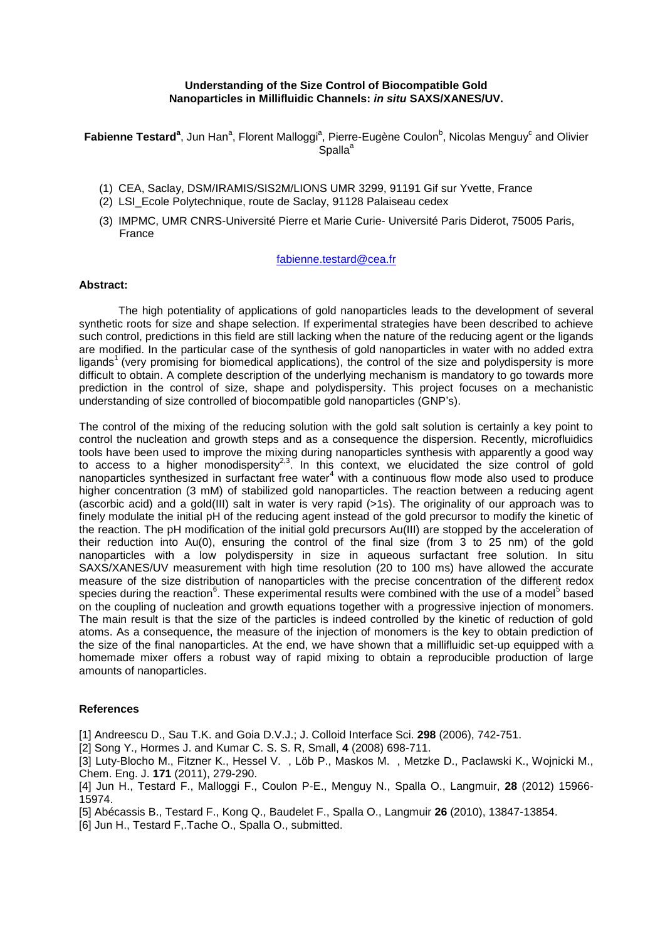## **Understanding of the Size Control of Biocompatible Gold Nanoparticles in Millifluidic Channels:** *in situ* **SAXS/XANES/UV.**

Fabienne Testard<sup>a</sup>, Jun Han<sup>a</sup>, Florent Malloggi<sup>a</sup>, Pierre-Eugène Coulon<sup>b</sup>, Nicolas Menguy<sup>c</sup> and Olivier Spalla<sup>a</sup>

- (1) CEA, Saclay, DSM/IRAMIS/SIS2M/LIONS UMR 3299, 91191 Gif sur Yvette, France
- (2) LSI\_Ecole Polytechnique, route de Saclay, 91128 Palaiseau cedex
- (3) IMPMC, UMR CNRS-Université Pierre et Marie Curie- Université Paris Diderot, 75005 Paris, France

## fabienne.testard@cea.fr

## **Abstract:**

The high potentiality of applications of gold nanoparticles leads to the development of several synthetic roots for size and shape selection. If experimental strategies have been described to achieve such control, predictions in this field are still lacking when the nature of the reducing agent or the ligands are modified. In the particular case of the synthesis of gold nanoparticles in water with no added extra ligands<sup>1</sup> (very promising for biomedical applications), the control of the size and polydispersity is more difficult to obtain. A complete description of the underlying mechanism is mandatory to go towards more prediction in the control of size, shape and polydispersity. This project focuses on a mechanistic understanding of size controlled of biocompatible gold nanoparticles (GNP's).

The control of the mixing of the reducing solution with the gold salt solution is certainly a key point to control the nucleation and growth steps and as a consequence the dispersion. Recently, microfluidics tools have been used to improve the mixing during nanoparticles synthesis with apparently a good way to access to a higher monodispersity<sup>2,3</sup>. In this context, we elucidated the size control of gold nanoparticles synthesized in surfactant free water $4$  with a continuous flow mode also used to produce higher concentration (3 mM) of stabilized gold nanoparticles. The reaction between a reducing agent (ascorbic acid) and a gold(III) salt in water is very rapid (>1s). The originality of our approach was to finely modulate the initial pH of the reducing agent instead of the gold precursor to modify the kinetic of the reaction. The pH modification of the initial gold precursors Au(III) are stopped by the acceleration of their reduction into Au(0), ensuring the control of the final size (from 3 to 25 nm) of the gold nanoparticles with a low polydispersity in size in aqueous surfactant free solution. In situ SAXS/XANES/UV measurement with high time resolution (20 to 100 ms) have allowed the accurate measure of the size distribution of nanoparticles with the precise concentration of the different redox species during the reaction<sup>6</sup>. These experimental results were combined with the use of a model<sup>5</sup> based on the coupling of nucleation and growth equations together with a progressive injection of monomers. The main result is that the size of the particles is indeed controlled by the kinetic of reduction of gold atoms. As a consequence, the measure of the injection of monomers is the key to obtain prediction of the size of the final nanoparticles. At the end, we have shown that a millifluidic set-up equipped with a homemade mixer offers a robust way of rapid mixing to obtain a reproducible production of large amounts of nanoparticles.

## **References**

[1] Andreescu D., Sau T.K. and Goia D.V.J.; J. Colloid Interface Sci. **298** (2006), 742-751.

[2] Song Y., Hormes J. and Kumar C. S. S. R, Small, **4** (2008) 698-711.

[3] Luty-Blocho M., Fitzner K., Hessel V. , Löb P., Maskos M. , Metzke D., Paclawski K., Wojnicki M., Chem. Eng. J. **171** (2011), 279-290.

[4] Jun H., Testard F., Malloggi F., Coulon P-E., Menguy N., Spalla O., Langmuir, **28** (2012) 15966- 15974.

[5] Abécassis B., Testard F., Kong Q., Baudelet F., Spalla O., Langmuir **26** (2010), 13847-13854.

[6] Jun H., Testard F,.Tache O., Spalla O., submitted.